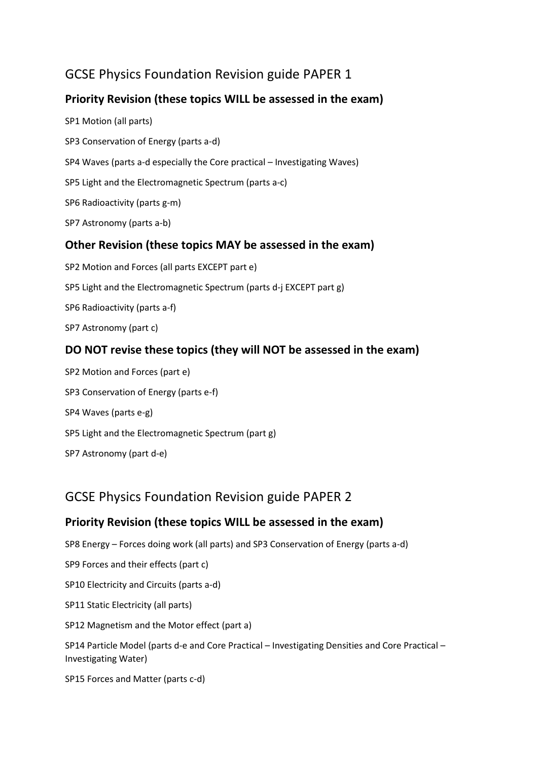# GCSE Physics Foundation Revision guide PAPER 1

# **Priority Revision (these topics WILL be assessed in the exam)**

SP1 Motion (all parts) SP3 Conservation of Energy (parts a-d) SP4 Waves (parts a-d especially the Core practical – Investigating Waves) SP5 Light and the Electromagnetic Spectrum (parts a-c) SP6 Radioactivity (parts g-m) SP7 Astronomy (parts a-b) **Other Revision (these topics MAY be assessed in the exam)** SP2 Motion and Forces (all parts EXCEPT part e) SP5 Light and the Electromagnetic Spectrum (parts d-j EXCEPT part g) SP6 Radioactivity (parts a-f) SP7 Astronomy (part c)

# **DO NOT revise these topics (they will NOT be assessed in the exam)**

SP2 Motion and Forces (part e) SP3 Conservation of Energy (parts e-f) SP4 Waves (parts e-g) SP5 Light and the Electromagnetic Spectrum (part g) SP7 Astronomy (part d-e)

# GCSE Physics Foundation Revision guide PAPER 2

## **Priority Revision (these topics WILL be assessed in the exam)**

SP8 Energy – Forces doing work (all parts) and SP3 Conservation of Energy (parts a-d)

SP9 Forces and their effects (part c)

SP10 Electricity and Circuits (parts a-d)

SP11 Static Electricity (all parts)

SP12 Magnetism and the Motor effect (part a)

SP14 Particle Model (parts d-e and Core Practical – Investigating Densities and Core Practical – Investigating Water)

SP15 Forces and Matter (parts c-d)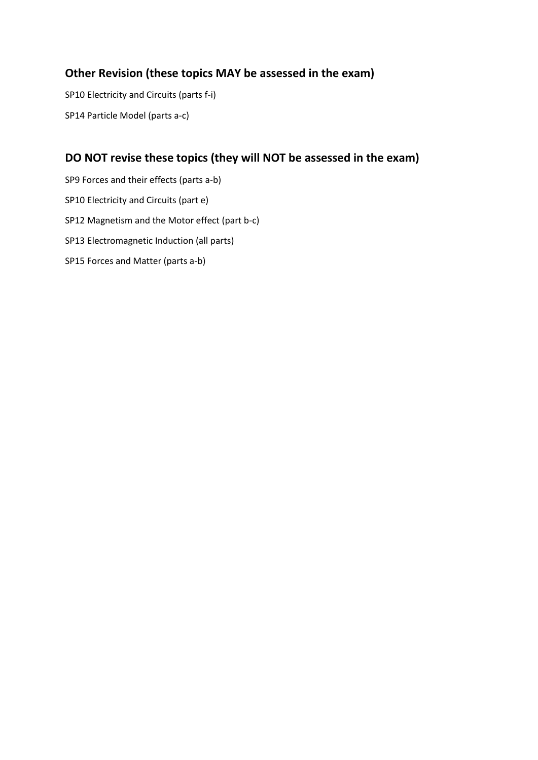## **Other Revision (these topics MAY be assessed in the exam)**

SP10 Electricity and Circuits (parts f-i) SP14 Particle Model (parts a-c)

## **DO NOT revise these topics (they will NOT be assessed in the exam)**

SP9 Forces and their effects (parts a-b) SP10 Electricity and Circuits (part e) SP12 Magnetism and the Motor effect (part b-c) SP13 Electromagnetic Induction (all parts) SP15 Forces and Matter (parts a-b)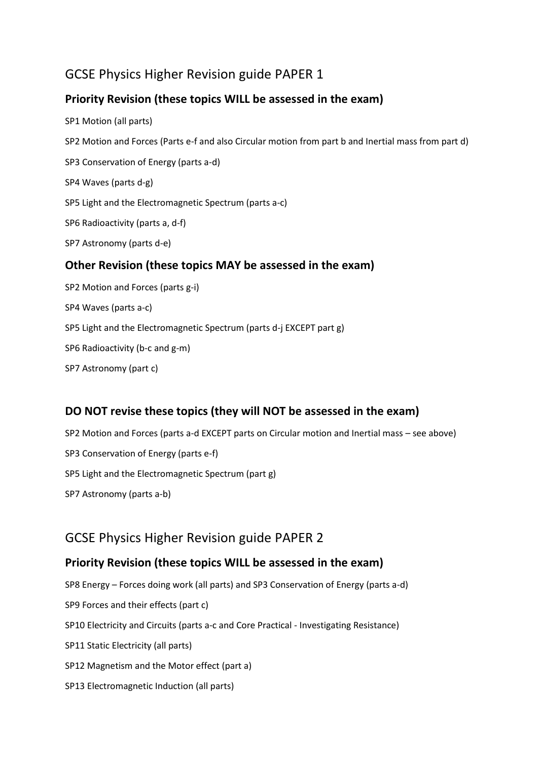# GCSE Physics Higher Revision guide PAPER 1

### **Priority Revision (these topics WILL be assessed in the exam)**

- SP1 Motion (all parts) SP2 Motion and Forces (Parts e-f and also Circular motion from part b and Inertial mass from part d) SP3 Conservation of Energy (parts a-d) SP4 Waves (parts d-g) SP5 Light and the Electromagnetic Spectrum (parts a-c) SP6 Radioactivity (parts a, d-f) SP7 Astronomy (parts d-e) **Other Revision (these topics MAY be assessed in the exam)** SP2 Motion and Forces (parts g-i) SP4 Waves (parts a-c) SP5 Light and the Electromagnetic Spectrum (parts d-j EXCEPT part g) SP6 Radioactivity (b-c and g-m)
- SP7 Astronomy (part c)

## **DO NOT revise these topics (they will NOT be assessed in the exam)**

SP2 Motion and Forces (parts a-d EXCEPT parts on Circular motion and Inertial mass – see above) SP3 Conservation of Energy (parts e-f) SP5 Light and the Electromagnetic Spectrum (part g) SP7 Astronomy (parts a-b)

# GCSE Physics Higher Revision guide PAPER 2

#### **Priority Revision (these topics WILL be assessed in the exam)**

SP8 Energy – Forces doing work (all parts) and SP3 Conservation of Energy (parts a-d) SP9 Forces and their effects (part c) SP10 Electricity and Circuits (parts a-c and Core Practical - Investigating Resistance) SP11 Static Electricity (all parts) SP12 Magnetism and the Motor effect (part a) SP13 Electromagnetic Induction (all parts)